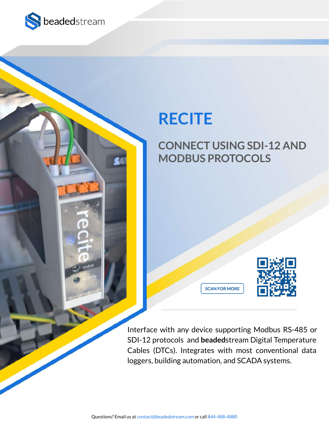

## **RECITE**

## **CONNECT USING SDI-12 AND MODBUS PROTOCOLS**



Interface with any device supporting Modbus RS-485 or SDI-12 protocols and **beaded**stream Digital Temperature Cables (DTCs). Integrates with most conventional data loggers, building automation, and SCADA systems.

**SCAN FOR MORE**